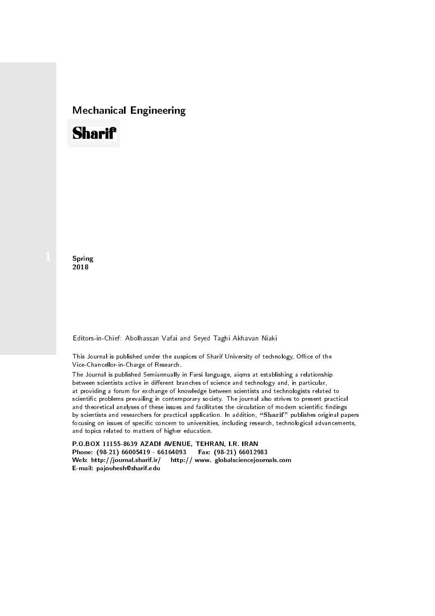## Mechanical Engineering

## **Sharif**

**Spring** 2018

Editors-in-Chief: Abolhassan Vafai and Seyed Taghi Akhavan Niaki

This Journal is published under the auspices of Sharif University of technology, Office of the Vice-Chancellor-in-Charge of Research.

between scientists active in different branches of science and technology and, in particular, at providing a forum for exchange of knowledge between scientists and technologists related to scientic problems prevailing in contemporary society. The journal also strives to present practical and theoretical analyses of these issues and facilitates the circulation of modern scientific findings by scientists and researchers for practical application. In addition, "Sharif" publishes original papers focusing on issues of specific concern to universities, including research, technological advancements, and topics related to matters of higher education. The Journal is published Semiannually in Farsi language, aiqms at establishing a relationship

P.O.BOX 11155-8639 AZADI AVENUE, TEHRAN, I.R. IRAN Phone: (98-21) 66005419 - 66164093 Fax: (98-21) 66012983 Web: http://journal.sharif.ir/ http:// www. globalsciencejournals.com E-mail: pajouhesh@sharif.edu